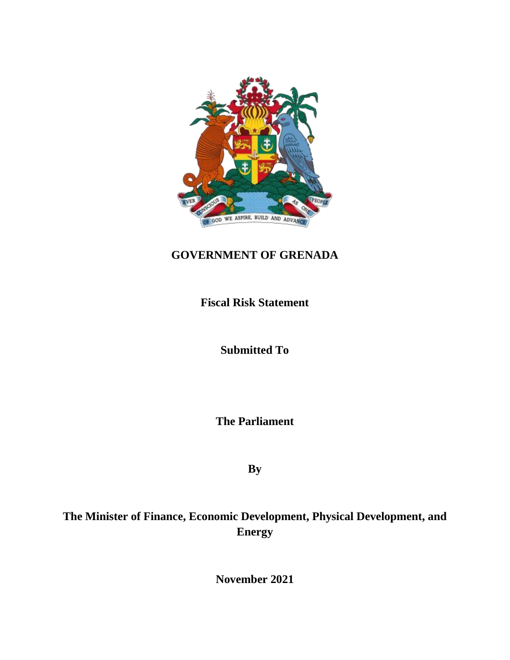

# **GOVERNMENT OF GRENADA**

**Fiscal Risk Statement**

**Submitted To** 

**The Parliament**

**By**

**The Minister of Finance, Economic Development, Physical Development, and Energy**

**November 2021**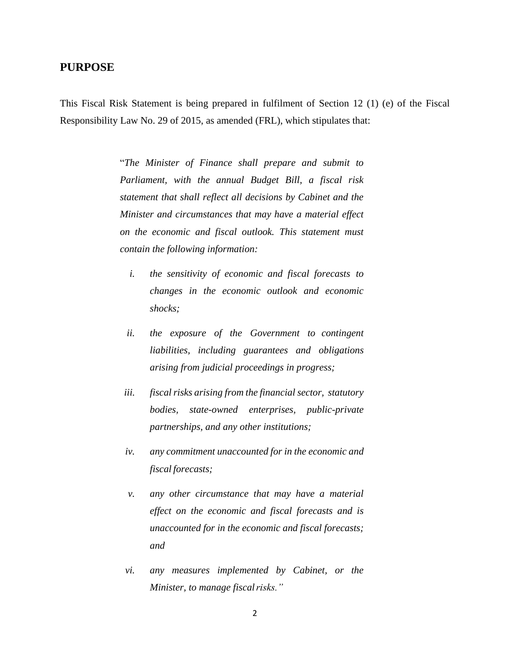# **PURPOSE**

This Fiscal Risk Statement is being prepared in fulfilment of Section 12 (1) (e) of the Fiscal Responsibility Law No. 29 of 2015, as amended (FRL), which stipulates that:

> "*The Minister of Finance shall prepare and submit to Parliament, with the annual Budget Bill, a fiscal risk statement that shall reflect all decisions by Cabinet and the Minister and circumstances that may have a material effect on the economic and fiscal outlook. This statement must contain the following information:*

- *i. the sensitivity of economic and fiscal forecasts to changes in the economic outlook and economic shocks;*
- *ii. the exposure of the Government to contingent liabilities, including guarantees and obligations arising from judicial proceedings in progress;*
- *iii. fiscal risks arising from the financial sector, statutory bodies, state-owned enterprises, public-private partnerships, and any other institutions;*
- *iv. any commitment unaccounted for in the economic and fiscal forecasts;*
- *v. any other circumstance that may have a material effect on the economic and fiscal forecasts and is unaccounted for in the economic and fiscal forecasts; and*
- *vi. any measures implemented by Cabinet, or the Minister, to manage fiscalrisks."*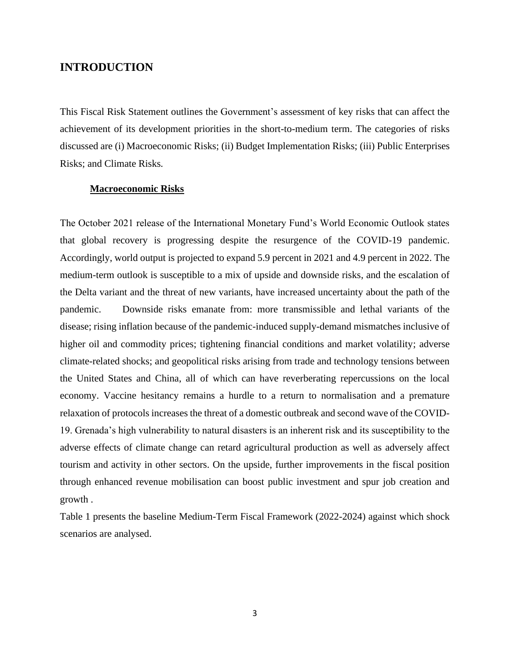# **INTRODUCTION**

This Fiscal Risk Statement outlines the Government's assessment of key risks that can affect the achievement of its development priorities in the short-to-medium term. The categories of risks discussed are (i) Macroeconomic Risks; (ii) Budget Implementation Risks; (iii) Public Enterprises Risks; and Climate Risks.

## **Macroeconomic Risks**

The October 2021 release of the International Monetary Fund's World Economic Outlook states that global recovery is progressing despite the resurgence of the COVID-19 pandemic. Accordingly, world output is projected to expand 5.9 percent in 2021 and 4.9 percent in 2022. The medium-term outlook is susceptible to a mix of upside and downside risks, and the escalation of the Delta variant and the threat of new variants, have increased uncertainty about the path of the pandemic. Downside risks emanate from: more transmissible and lethal variants of the disease; rising inflation because of the pandemic-induced supply-demand mismatches inclusive of higher oil and commodity prices; tightening financial conditions and market volatility; adverse climate-related shocks; and geopolitical risks arising from trade and technology tensions between the United States and China, all of which can have reverberating repercussions on the local economy. Vaccine hesitancy remains a hurdle to a return to normalisation and a premature relaxation of protocols increases the threat of a domestic outbreak and second wave of the COVID-19. Grenada's high vulnerability to natural disasters is an inherent risk and its susceptibility to the adverse effects of climate change can retard agricultural production as well as adversely affect tourism and activity in other sectors. On the upside, further improvements in the fiscal position through enhanced revenue mobilisation can boost public investment and spur job creation and growth .

Table 1 presents the baseline Medium-Term Fiscal Framework (2022-2024) against which shock scenarios are analysed.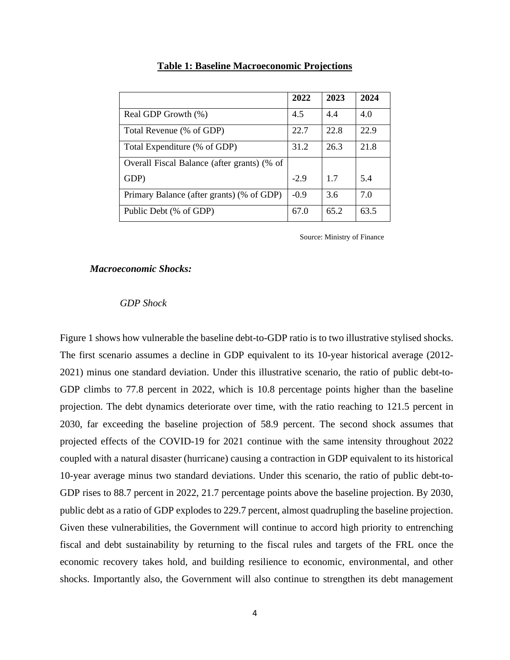|                                             | 2022   | 2023 | 2024 |
|---------------------------------------------|--------|------|------|
| Real GDP Growth (%)                         | 4.5    | 4.4  | 4.0  |
| Total Revenue (% of GDP)                    | 22.7   | 22.8 | 22.9 |
| Total Expenditure (% of GDP)                | 31.2   | 26.3 | 21.8 |
| Overall Fiscal Balance (after grants) (% of |        |      |      |
| GDP)                                        | $-2.9$ | 17   | 5.4  |
| Primary Balance (after grants) (% of GDP)   | $-0.9$ | 3.6  | 7.0  |
| Public Debt (% of GDP)                      | 67.0   | 65.2 | 63.5 |

# **Table 1: Baseline Macroeconomic Projections**

Source: Ministry of Finance

#### *Macroeconomic Shocks:*

# *GDP Shock*

Figure 1 shows how vulnerable the baseline debt-to-GDP ratio is to two illustrative stylised shocks. The first scenario assumes a decline in GDP equivalent to its 10-year historical average (2012- 2021) minus one standard deviation. Under this illustrative scenario, the ratio of public debt-to-GDP climbs to 77.8 percent in 2022, which is 10.8 percentage points higher than the baseline projection. The debt dynamics deteriorate over time, with the ratio reaching to 121.5 percent in 2030, far exceeding the baseline projection of 58.9 percent. The second shock assumes that projected effects of the COVID-19 for 2021 continue with the same intensity throughout 2022 coupled with a natural disaster (hurricane) causing a contraction in GDP equivalent to its historical 10-year average minus two standard deviations. Under this scenario, the ratio of public debt-to-GDP rises to 88.7 percent in 2022, 21.7 percentage points above the baseline projection. By 2030, public debt as a ratio of GDP explodes to 229.7 percent, almost quadrupling the baseline projection. Given these vulnerabilities, the Government will continue to accord high priority to entrenching fiscal and debt sustainability by returning to the fiscal rules and targets of the FRL once the economic recovery takes hold, and building resilience to economic, environmental, and other shocks. Importantly also, the Government will also continue to strengthen its debt management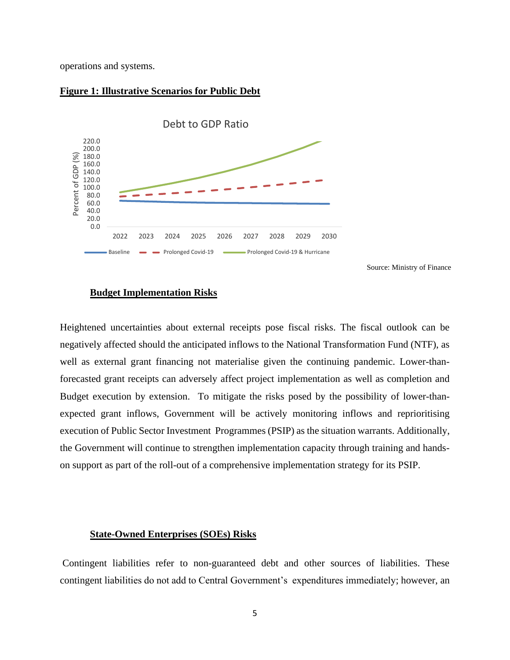operations and systems.

## **Figure 1: Illustrative Scenarios for Public Debt**



Source: Ministry of Finance

# **Budget Implementation Risks**

Heightened uncertainties about external receipts pose fiscal risks. The fiscal outlook can be negatively affected should the anticipated inflows to the National Transformation Fund (NTF), as well as external grant financing not materialise given the continuing pandemic. Lower-thanforecasted grant receipts can adversely affect project implementation as well as completion and Budget execution by extension. To mitigate the risks posed by the possibility of lower-thanexpected grant inflows, Government will be actively monitoring inflows and reprioritising execution of Public Sector Investment Programmes (PSIP) as the situation warrants. Additionally, the Government will continue to strengthen implementation capacity through training and handson support as part of the roll-out of a comprehensive implementation strategy for its PSIP.

## **State-Owned Enterprises (SOEs) Risks**

Contingent liabilities refer to non-guaranteed debt and other sources of liabilities. These contingent liabilities do not add to Central Government's expenditures immediately; however, an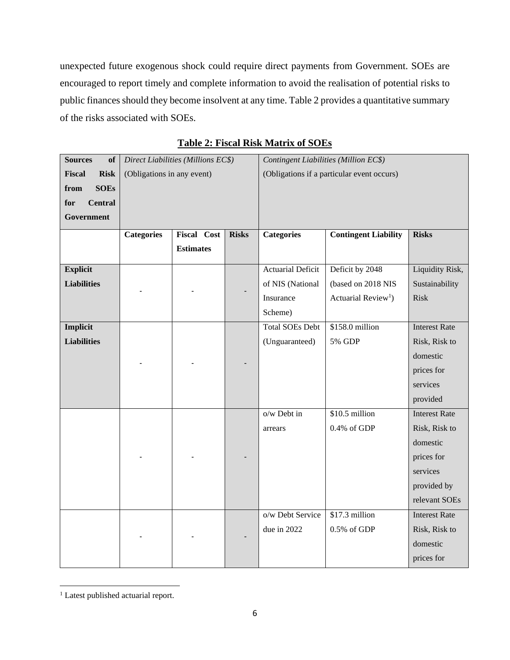unexpected future exogenous shock could require direct payments from Government. SOEs are encouraged to report timely and complete information to avoid the realisation of potential risks to public finances should they become insolvent at any time. Table 2 provides a quantitative summary of the risks associated with SOEs.

| <b>Sources</b><br><b>of</b> |                            | Direct Liabilities (Millions EC\$) |              | Contingent Liabilities (Million EC\$)      |                                 |                      |
|-----------------------------|----------------------------|------------------------------------|--------------|--------------------------------------------|---------------------------------|----------------------|
| Fiscal<br><b>Risk</b>       | (Obligations in any event) |                                    |              | (Obligations if a particular event occurs) |                                 |                      |
| from<br><b>SOEs</b>         |                            |                                    |              |                                            |                                 |                      |
| <b>Central</b><br>for       |                            |                                    |              |                                            |                                 |                      |
| Government                  |                            |                                    |              |                                            |                                 |                      |
|                             | <b>Categories</b>          | <b>Fiscal Cost</b>                 | <b>Risks</b> | <b>Categories</b>                          | <b>Contingent Liability</b>     | <b>Risks</b>         |
|                             |                            | <b>Estimates</b>                   |              |                                            |                                 |                      |
| <b>Explicit</b>             |                            |                                    |              | <b>Actuarial Deficit</b>                   | Deficit by 2048                 | Liquidity Risk,      |
| <b>Liabilities</b>          |                            |                                    |              | of NIS (National                           | (based on 2018 NIS              | Sustainability       |
|                             |                            |                                    |              | Insurance                                  | Actuarial Review <sup>1</sup> ) | <b>Risk</b>          |
|                             |                            |                                    |              | Scheme)                                    |                                 |                      |
| Implicit                    |                            |                                    |              | <b>Total SOEs Debt</b>                     | \$158.0 million                 | <b>Interest Rate</b> |
| <b>Liabilities</b>          |                            |                                    |              | (Unguaranteed)                             | 5% GDP                          | Risk, Risk to        |
|                             |                            |                                    |              |                                            |                                 | domestic             |
|                             |                            |                                    |              |                                            |                                 | prices for           |
|                             |                            |                                    |              |                                            |                                 | services             |
|                             |                            |                                    |              |                                            |                                 | provided             |
|                             |                            |                                    |              | $o/w$ Debt in                              | $$10.5$ million                 | <b>Interest Rate</b> |
|                             |                            |                                    |              | arrears                                    | 0.4% of GDP                     | Risk, Risk to        |
|                             |                            |                                    |              |                                            |                                 | domestic             |
|                             |                            |                                    |              |                                            |                                 | prices for           |
|                             |                            |                                    |              |                                            |                                 | services             |
|                             |                            |                                    |              |                                            |                                 | provided by          |
|                             |                            |                                    |              |                                            |                                 | relevant SOEs        |
|                             |                            |                                    |              | o/w Debt Service                           | $$17.3$ million                 | <b>Interest Rate</b> |
|                             |                            |                                    |              | due in 2022                                | $0.5\%$ of GDP                  | Risk, Risk to        |
|                             |                            |                                    |              |                                            |                                 | domestic             |
|                             |                            |                                    |              |                                            |                                 | prices for           |

**Table 2: Fiscal Risk Matrix of SOEs**

<sup>&</sup>lt;sup>1</sup> Latest published actuarial report.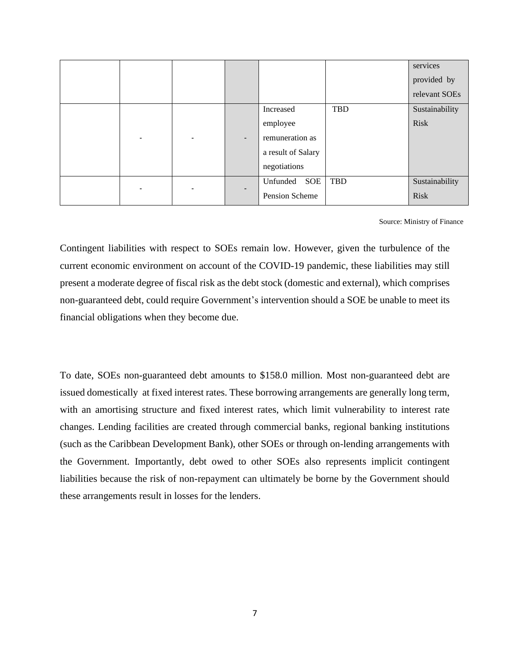|  |   |                          |                                                                                |            | services<br>provided by<br>relevant SOEs |
|--|---|--------------------------|--------------------------------------------------------------------------------|------------|------------------------------------------|
|  |   |                          | Increased<br>employee<br>remuneration as<br>a result of Salary<br>negotiations | TBD        | Sustainability<br><b>Risk</b>            |
|  | - | $\overline{\phantom{a}}$ | Unfunded<br><b>SOE</b><br>Pension Scheme                                       | <b>TBD</b> | Sustainability<br><b>Risk</b>            |

Source: Ministry of Finance

Contingent liabilities with respect to SOEs remain low. However, given the turbulence of the current economic environment on account of the COVID-19 pandemic, these liabilities may still present a moderate degree of fiscal risk as the debt stock (domestic and external), which comprises non-guaranteed debt, could require Government's intervention should a SOE be unable to meet its financial obligations when they become due.

To date, SOEs non-guaranteed debt amounts to \$158.0 million. Most non-guaranteed debt are issued domestically at fixed interest rates. These borrowing arrangements are generally long term, with an amortising structure and fixed interest rates, which limit vulnerability to interest rate changes. Lending facilities are created through commercial banks, regional banking institutions (such as the Caribbean Development Bank), other SOEs or through on-lending arrangements with the Government. Importantly, debt owed to other SOEs also represents implicit contingent liabilities because the risk of non-repayment can ultimately be borne by the Government should these arrangements result in losses for the lenders.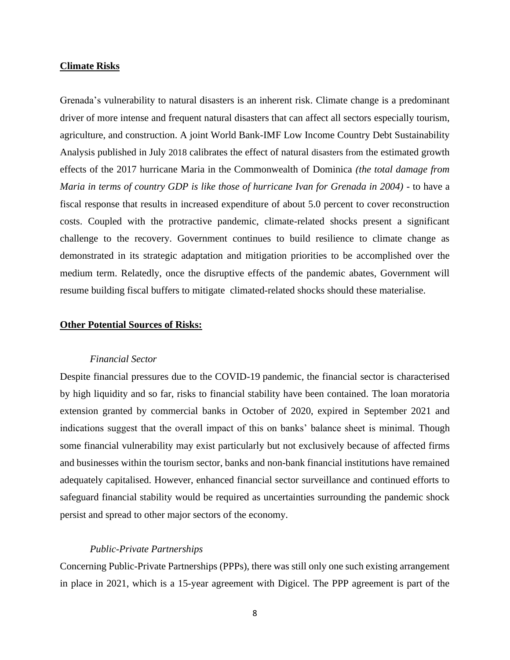## **Climate Risks**

Grenada's vulnerability to natural disasters is an inherent risk. Climate change is a predominant driver of more intense and frequent natural disasters that can affect all sectors especially tourism, agriculture, and construction. A joint World Bank-IMF Low Income Country Debt Sustainability Analysis published in July 2018 calibrates the effect of natural disasters from the estimated growth effects of the 2017 hurricane Maria in the Commonwealth of Dominica *(the total damage from Maria in terms of country GDP is like those of hurricane Ivan for Grenada in 2004)* - to have a fiscal response that results in increased expenditure of about 5.0 percent to cover reconstruction costs. Coupled with the protractive pandemic, climate-related shocks present a significant challenge to the recovery. Government continues to build resilience to climate change as demonstrated in its strategic adaptation and mitigation priorities to be accomplished over the medium term. Relatedly, once the disruptive effects of the pandemic abates, Government will resume building fiscal buffers to mitigate climated-related shocks should these materialise.

#### **Other Potential Sources of Risks:**

#### *Financial Sector*

Despite financial pressures due to the COVID-19 pandemic, the financial sector is characterised by high liquidity and so far, risks to financial stability have been contained. The loan moratoria extension granted by commercial banks in October of 2020, expired in September 2021 and indications suggest that the overall impact of this on banks' balance sheet is minimal. Though some financial vulnerability may exist particularly but not exclusively because of affected firms and businesses within the tourism sector, banks and non-bank financial institutions have remained adequately capitalised. However, enhanced financial sector surveillance and continued efforts to safeguard financial stability would be required as uncertainties surrounding the pandemic shock persist and spread to other major sectors of the economy.

#### *Public-Private Partnerships*

Concerning Public-Private Partnerships (PPPs), there was still only one such existing arrangement in place in 2021, which is a 15-year agreement with Digicel. The PPP agreement is part of the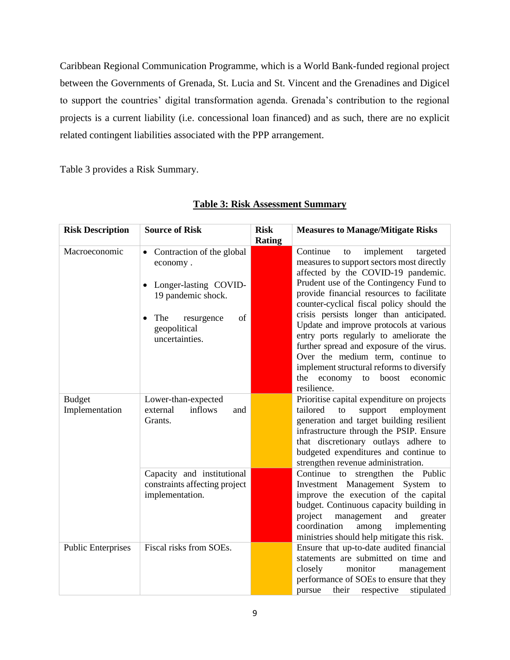Caribbean Regional Communication Programme, which is a World Bank-funded regional project between the Governments of Grenada, St. Lucia and St. Vincent and the Grenadines and Digicel to support the countries' digital transformation agenda. Grenada's contribution to the regional projects is a current liability (i.e. concessional loan financed) and as such, there are no explicit related contingent liabilities associated with the PPP arrangement.

Table 3 provides a Risk Summary.

| <b>Risk Description</b>         | <b>Source of Risk</b>                                                                                                                                  | <b>Risk</b><br>Rating | <b>Measures to Manage/Mitigate Risks</b>                                                                                                                                                                                                                                                                                                                                                                                                                                                                                                                                              |
|---------------------------------|--------------------------------------------------------------------------------------------------------------------------------------------------------|-----------------------|---------------------------------------------------------------------------------------------------------------------------------------------------------------------------------------------------------------------------------------------------------------------------------------------------------------------------------------------------------------------------------------------------------------------------------------------------------------------------------------------------------------------------------------------------------------------------------------|
| Macroeconomic                   | Contraction of the global<br>٠<br>economy.<br>Longer-lasting COVID-<br>19 pandemic shock.<br>The<br>of<br>resurgence<br>geopolitical<br>uncertainties. |                       | Continue<br>implement<br>targeted<br>to<br>measures to support sectors most directly<br>affected by the COVID-19 pandemic.<br>Prudent use of the Contingency Fund to<br>provide financial resources to facilitate<br>counter-cyclical fiscal policy should the<br>crisis persists longer than anticipated.<br>Update and improve protocols at various<br>entry ports regularly to ameliorate the<br>further spread and exposure of the virus.<br>Over the medium term, continue to<br>implement structural reforms to diversify<br>the economy<br>to boost<br>economic<br>resilience. |
| <b>Budget</b><br>Implementation | Lower-than-expected<br>inflows<br>external<br>and<br>Grants.                                                                                           |                       | Prioritise capital expenditure on projects<br>tailored<br>support<br>to<br>employment<br>generation and target building resilient<br>infrastructure through the PSIP. Ensure<br>that discretionary outlays adhere to<br>budgeted expenditures and continue to<br>strengthen revenue administration.                                                                                                                                                                                                                                                                                   |
|                                 | Capacity and institutional<br>constraints affecting project<br>implementation.                                                                         |                       | Continue to strengthen the Public<br>Investment Management<br>System to<br>improve the execution of the capital<br>budget. Continuous capacity building in<br>project<br>management<br>and<br>greater<br>coordination<br>among<br>implementing<br>ministries should help mitigate this risk.                                                                                                                                                                                                                                                                                          |
| <b>Public Enterprises</b>       | Fiscal risks from SOEs.                                                                                                                                |                       | Ensure that up-to-date audited financial<br>statements are submitted on time and<br>closely<br>monitor<br>management<br>performance of SOEs to ensure that they<br>their<br>respective<br>stipulated<br>pursue                                                                                                                                                                                                                                                                                                                                                                        |

# **Table 3: Risk Assessment Summary**